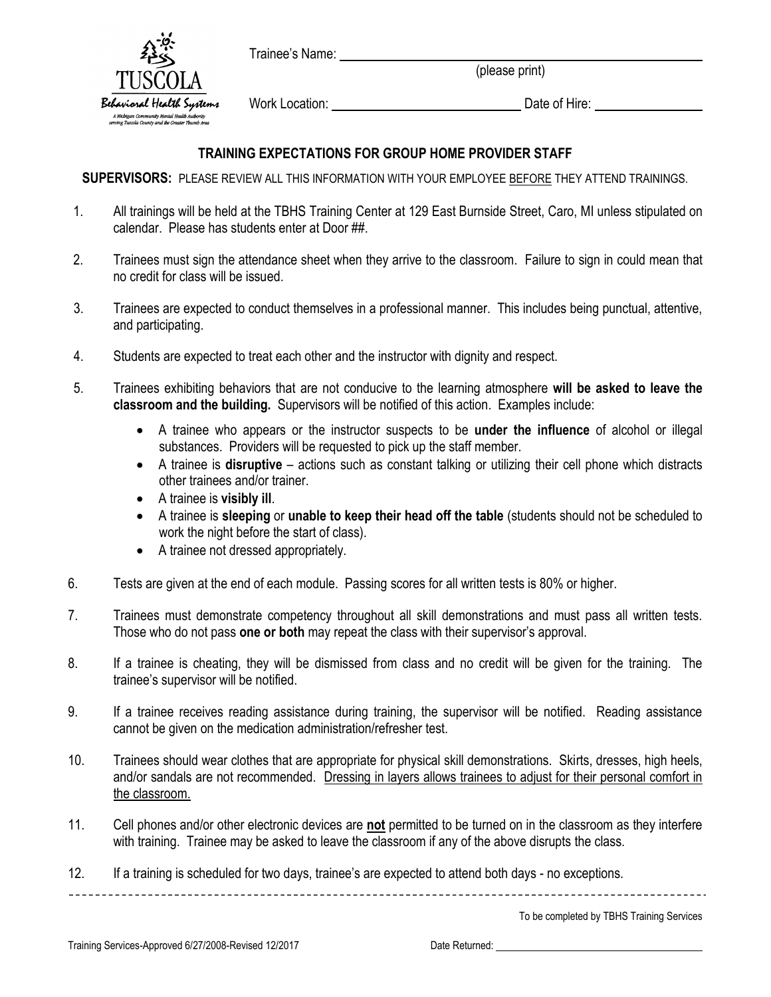Trainee's Name:



(please print)

Work Location: University Date of Hire: Date of Hire:

## **TRAINING EXPECTATIONS FOR GROUP HOME PROVIDER STAFF**

**SUPERVISORS:** PLEASE REVIEW ALL THIS INFORMATION WITH YOUR EMPLOYEE BEFORE THEY ATTEND TRAININGS.

- 1. All trainings will be held at the TBHS Training Center at 129 East Burnside Street, Caro, MI unless stipulated on calendar. Please has students enter at Door ##.
- 2. Trainees must sign the attendance sheet when they arrive to the classroom. Failure to sign in could mean that no credit for class will be issued.
- 3. Trainees are expected to conduct themselves in a professional manner. This includes being punctual, attentive, and participating.
- 4. Students are expected to treat each other and the instructor with dignity and respect.
- 5. Trainees exhibiting behaviors that are not conducive to the learning atmosphere **will be asked to leave the classroom and the building.** Supervisors will be notified of this action. Examples include:
	- A trainee who appears or the instructor suspects to be **under the influence** of alcohol or illegal substances. Providers will be requested to pick up the staff member.
	- A trainee is **disruptive** actions such as constant talking or utilizing their cell phone which distracts other trainees and/or trainer.
	- A trainee is **visibly ill**.
	- A trainee is **sleeping** or **unable to keep their head off the table** (students should not be scheduled to work the night before the start of class).
	- A trainee not dressed appropriately.
- 6. Tests are given at the end of each module. Passing scores for all written tests is 80% or higher.
- 7. Trainees must demonstrate competency throughout all skill demonstrations and must pass all written tests. Those who do not pass **one or both** may repeat the class with their supervisor's approval.
- 8. If a trainee is cheating, they will be dismissed from class and no credit will be given for the training. The trainee's supervisor will be notified.
- 9. If a trainee receives reading assistance during training, the supervisor will be notified. Reading assistance cannot be given on the medication administration/refresher test.
- 10. Trainees should wear clothes that are appropriate for physical skill demonstrations. Skirts, dresses, high heels, and/or sandals are not recommended. Dressing in layers allows trainees to adjust for their personal comfort in the classroom.
- 11. Cell phones and/or other electronic devices are **not** permitted to be turned on in the classroom as they interfere with training. Trainee may be asked to leave the classroom if any of the above disrupts the class.

12. If a training is scheduled for two days, trainee's are expected to attend both days - no exceptions.

To be completed by TBHS Training Services